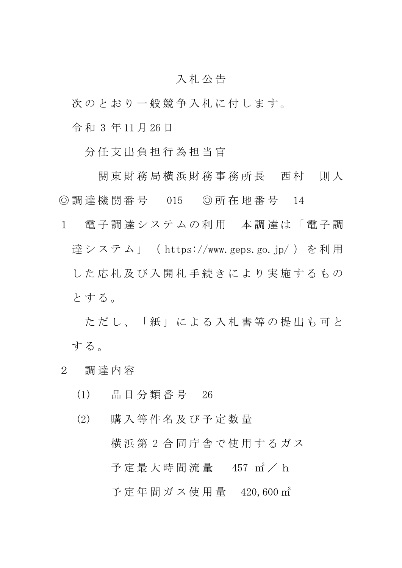## 入 札 公 告

次のとおり一般競争入札に付します。

令 和 3 年 11 月 26 日

分 任 支 出 負 担 行 為 担 当 官

関 東 財 務 局 横 浜 財 務 事 務 所 長 西 村 一 則 人 ◎ 調 達 機 関 番 号 015 ◎ 所 在 地 番 号 14

1 電子調達システムの利用 本調達は「電子調 達システム」 (https://www.geps.go.jp/) を利用 した 応 札 及 び 入 開 札 手 続 き に よ り 実 施 す る も の とする。

ただし、「紙」による入札書等の提出も可と する。

- 2 調 達 内 容
	- (1) 品 目 分 類 番 号 26
	- (2) 購 入 等 件 名 及 び 予 定 数 量 横 浜 第 2 合 同 庁 舎 で 使 用 す る ガ ス 予定最大時間流量 457  $m^3$  / h 予定年間ガス使用量 420,600 m<sup>3</sup>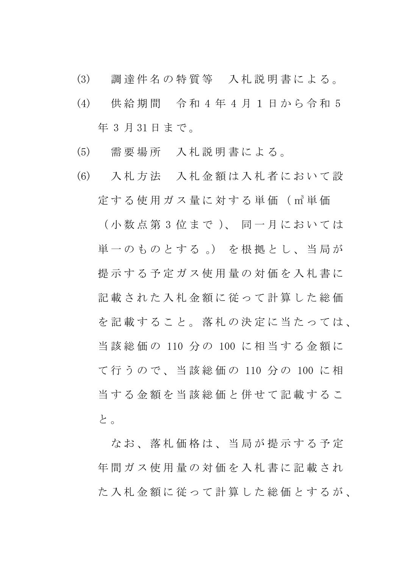- (3) 調 達 件 名 の 特 質 等 入 札 説 明 書 に よ る 。
- (4) 供 給 期 間 令 和 4 年 4 月 1 日 か ら 令 和 5 年 3 月 31 日 ま で 。
- (5) 需 要 場 所 入 札 説 明 書 に よ る 。
- (6) 入 札 方 法 入 札 金 額 は 入 札 者 に お い て 設 定 す る 使 用 ガ ス 量 に 対 す る 単 価 ( ㎥ 単 価 ( 小 数 点 第 3 位 ま で )、 同 一 月 に お い て は 単一のものとする。)を根拠とし、当局が 提示する予定ガス使用量の対価を入札書に 記載された入札金額に従って計算した総価 を記載すること。落札の決定に当たっては、 当 該 総 価 の 110 分 の 100 に 相 当 す る 金 額 に て 行 う の で 、 当 該 総 価 の 110 分 の 100 に 相 当する金額を当該総価と併せて記載するこ と 。

なお、落札価格は、当局が提示する予定 年間ガス使用量の対価を入札書に記載され た入札金額に従って計算した総価とするが、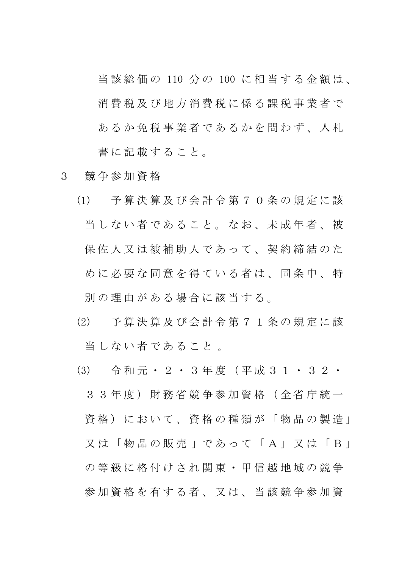当 該 総 価 の 110 分 の 100 に 相 当 す る 金 額 は 、 消 費 税 及 び 地 方 消 費 税 に 係 る 課 税 事 業 者 で あるか免税事業者であるかを問わず、入札 書に記載すること。

- 3 競 争 参 加 資 格
	- (1) 予 算 決 算 及 び 会 計 令 第 7 0 条 の 規 定 に 該 当しない者であること。なお、未成年者、被 保佐人又は被補助人であって、契約締結のた めに必要な同意を得ている者は、同条中、特 別 の 理 由 が あ る 場 合 に 該 当 す る 。
	- (2) 予 算 決 算 及 び 会 計 令 第 7 1 条 の 規 定 に 該 当 し な い 者 で あ る こ と 。
	- (3) 令 和 元 ・ 2 ・ 3 年 度 ( 平 成 3 1 ・ 3 2 ・ 3 3 年 度 ) 財 務 省 競 争 参 加 資 格 ( 全 省 庁 統 一 資格)において、資格の種類が「物品の製造」 又 は 「 物 品 の 販 売 」 で あ っ て 「 A 」 又 は 「 B 」 の等級に格付けされ関東·甲信越地域の競争 参加資格を有する者、又は、当該競争参加資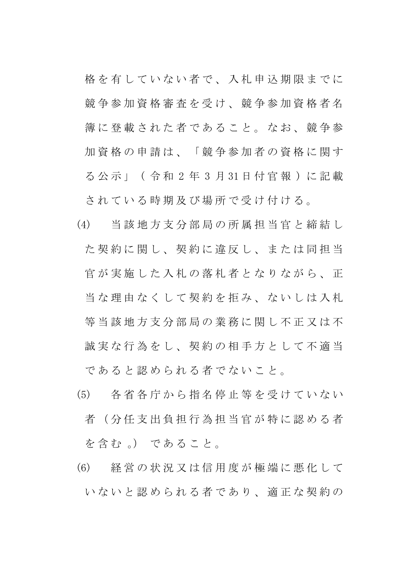格を有していない者で、入札申込期限までに 競争参加資格審査を受け、競争参加資格者名 簿 に 登 載 さ れ た 者 で あ る こ と 。 な お 、 競 争 参 加資格の申請は、「競争参加者の資格に関す る 公 示 」 ( 令 和 2 年 3 月 31 日 付 官 報 ) に 記 載 されている時期及び場所で受け付ける。

- (4) 当 該 地 方 支 分 部 局 の 所 属 担 当 官 と 締 結 し た契約に関し、契約に違反し、または同担当 官が実施した入札の落札者となりながら、正 当な理由なくして契約を拒み、ないしは入札 等 当 該 地 方 支 分 部 局 の 業 務 に 関 し 不 正 又 は 不 誠実な行為をし、契約の相手方として不適当 であると認められる者でないこと。
- (5) 各 省 各 庁 か ら 指 名 停 止 等 を 受 け て い な い 者(分任支出負担行為担当官が特に認める者 を含む 。) であること。
- (6) 経 営 の 状 況 又 は 信 用 度 が 極 端 に 悪 化 し て いないと認められる者であり、適正な契約の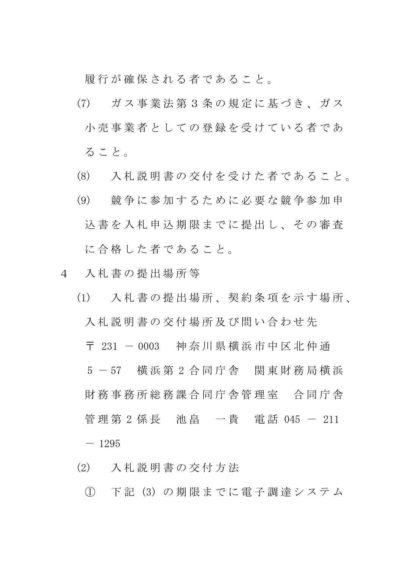履行が確保される者であること。

- (7) ガ ス 事 業 法 第 3 条 の 規 定 に 基 づ き 、 ガ ス 小 売 事 業 者 と し て の 登 録 を 受 け て い る 者 で あ る こ と 。
- (8) 入 札 説 明 書 の 交 付 を 受 け た 者 で あ る こ と 。
- (9) 競 争 に 参 加 す る た め に 必 要 な 競 争 参 加 申 込書を入札申込期限までに提出し、その審査 に合格した者であること。
- 4 入 札 書 の 提 出 場 所 等
	- (1) 入 札 書 の 提 出 場 所 、 契 約 条 項 を 示 す 場 所 、 入 札 説 明 書 の 交 付 場 所 及 び 問 い 合 わ せ 先 〒 231 - 0003 神 奈 川 県 横 浜 市 中 区 北 仲 通 5 - 57 横浜第 2 合同庁舎 関東財務局横浜 財 務 事 務 所 総 務 課 合 同 庁 舎 管 理 室 合 同 庁 舎 管 理 第 2 係 長 池 畠 一 貴 電 話 045 - 211  $- 1295$
	- (2) 入 札 説 明 書 の 交 付 方 法
		- ① 下 記 (3) の 期 限 ま で に 電 子 調 達 シ ス テ ム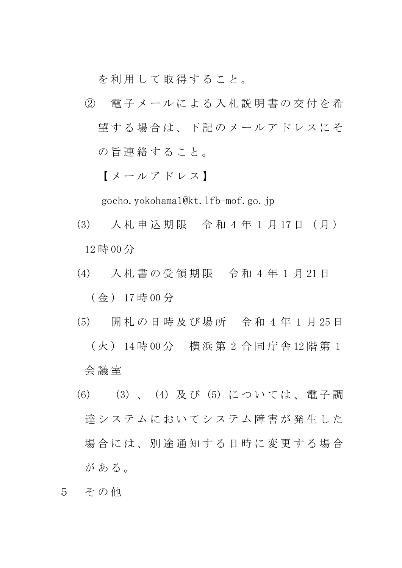を利用して取得すること。

② 電 子 メ ー ル に よ る 入 札 説 明 書 の 交 付 を 希 望する場合は、下記のメールアドレスにそ の旨連絡すること。

【 メ ー ル ア ド レ ス 】

gocho.yokohama1@kt.lfb-mof.go.jp

- (3) 入 札 申 込 期 限 令 和 4 年 1 月 17 日 ( 月 ) 12 時 00 分
- (4) 入 札 書 の 受 領 期 限 令 和 4 年 1 月 21 日 ( 金 ) 17 時 00 分
- (5) 開 札 の 日 時 及 び 場 所 令 和 4 年 1 月 25 日 ( 火 ) 14 時 00 分 横 浜 第 2 合 同 庁 舎 12 階 第 1 会 議 室
- (6) (3) 、 (4) 及 び (5) に つ い て は 、 電 子 調 達システムにおいてシステム障害が発生した 場合には、別涂通知する日時に変更する場合 が あ る 。
- 5 その他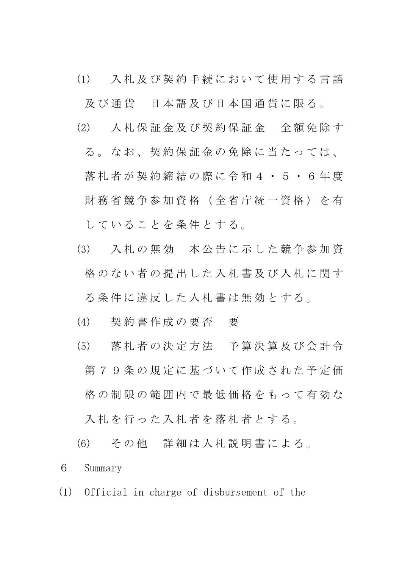(1) 入 札 及 び 契 約 手 続 に お い て 使 用 す る 言 語

及び通貨 日本語及び日本国通貨に限る。

- (2) 入 札 保 証 金 及 び 契 約 保 証 金 全 額 免 除 す
	- る 。 な お 、 契 約 保 証 金 の 免 除 に 当 た っ て は 、 落札者が契約締結の際に令和4·5·6年度 財 務 省 競 争 参 加 資 格 ( 全 省 庁 統 一 資 格 ) を 有 し て い る こ と を 条 件 と す る 。
- (3) 入 札 の 無 効 本 公 告 に 示 し た 競 争 参 加 資 格のない者の提出した入札書及び入札に関す る 条 件 に 違 反 し た 入 札 書 は 無 効 と す る 。
- (4) 契 約 書 作 成 の 要 否 要
- (5) 落 札 者 の 決 定 方 法 予 算 決 算 及 び 会 計 令 第79条の規定に基づいて作成された予定価 格の制限の範囲内で最低価格をもって有効な 入札を行った入札者を落札者とする。

(6) そ の 他 詳 細 は 入 札 説 明 書 に よ る 。 6 Summary

(1) Official in charge of disbursement of the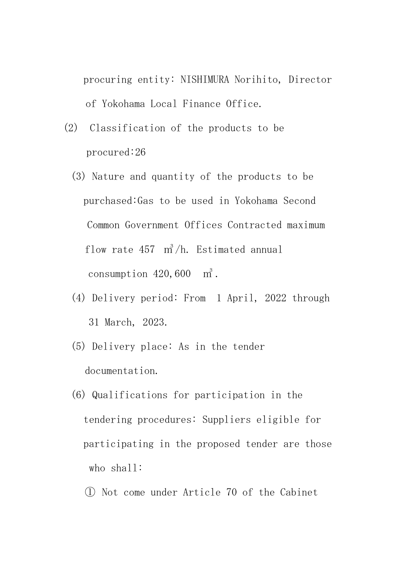procuring entity: NISHIMURA Norihito, Director of Yokohama Local Finance Office.

- (2) Classification of the products to be procured:26
	- (3) Nature and quantity of the products to be purchased:Gas to be used in Yokohama Second Common Government Offices Contracted maximum flow rate 457 ㎥/h. Estimated annual consumption  $420,600$  m<sup>3</sup>.
	- (4) Delivery period: From 1 April, 2022 through 31 March, 2023.
	- (5) Delivery place: As in the tender documentation.
	- (6) Qualifications for participation in the tendering procedures: Suppliers eligible for participating in the proposed tender are those who shall:
		- ① Not come under Article 70 of the Cabinet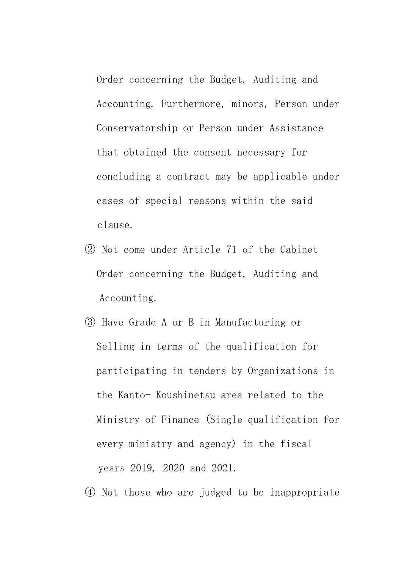Order concerning the Budget, Auditing and Accounting. Furthermore, minors, Person under Conservatorship or Person under Assistance that obtained the consent necessary for concluding a contract may be applicable under cases of special reasons within the said clause.

- ② Not come under Article 71 of the Cabinet Order concerning the Budget, Auditing and Accounting.
- ③ Have Grade A or B in Manufacturing or Selling in terms of the qualification for participating in tenders by Organizations in the Kanto- Koushinetsu area related to the Ministry of Finance (Single qualification for every ministry and agency) in the fiscal years 2019, 2020 and 2021.
- ④ Not those who are judged to be inappropriate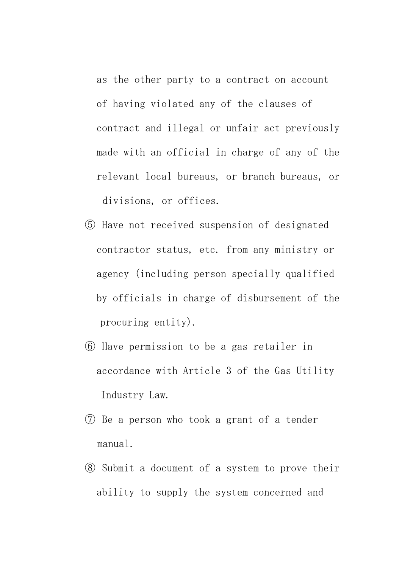as the other party to a contract on account of having violated any of the clauses of contract and illegal or unfair act previously made with an official in charge of any of the relevant local bureaus, or branch bureaus, or divisions, or offices.

- ⑤ Have not received suspension of designated contractor status, etc. from any ministry or agency (including person specially qualified by officials in charge of disbursement of the procuring entity).
- ⑥ Have permission to be a gas retailer in accordance with Article 3 of the Gas Utility Industry Law.
- ⑦ Be a person who took a grant of a tender manual.
- ⑧ Submit a document of a system to prove their ability to supply the system concerned and